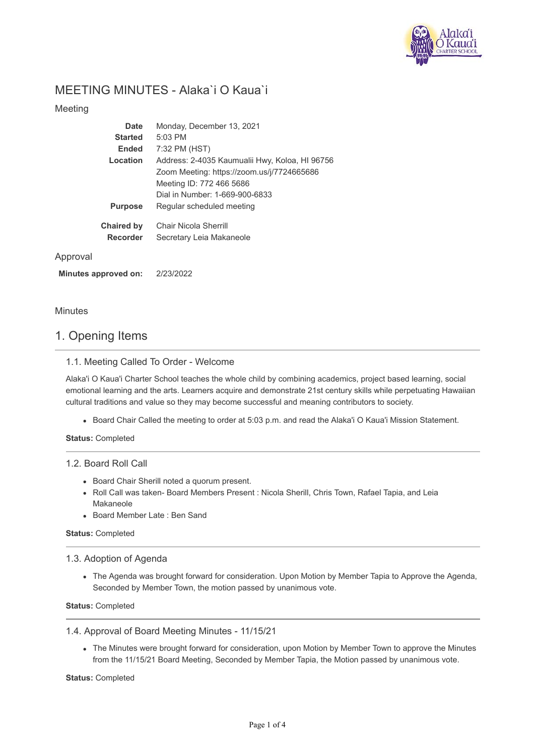

# MEETING MINUTES - Alaka`i O Kaua`i

## Meeting

| <b>Date</b>       | Monday, December 13, 2021                      |
|-------------------|------------------------------------------------|
| <b>Started</b>    | $5:03$ PM                                      |
| <b>Ended</b>      | 7:32 PM (HST)                                  |
| Location          | Address: 2-4035 Kaumualii Hwy, Koloa, HI 96756 |
|                   | Zoom Meeting: https://zoom.us/j/7724665686     |
|                   | Meeting ID: 772 466 5686                       |
|                   | Dial in Number: 1-669-900-6833                 |
| <b>Purpose</b>    | Regular scheduled meeting                      |
| <b>Chaired by</b> | Chair Nicola Sherrill                          |
| <b>Recorder</b>   | Secretary Leia Makaneole                       |
|                   |                                                |

### Approval

**Minutes approved on:** 2/23/2022

### Minutes

# 1. Opening Items

### 1.1. Meeting Called To Order - Welcome

Alaka'i O Kaua'i Charter School teaches the whole child by combining academics, project based learning, social emotional learning and the arts. Learners acquire and demonstrate 21st century skills while perpetuating Hawaiian cultural traditions and value so they may become successful and meaning contributors to society.

Board Chair Called the meeting to order at 5:03 p.m. and read the Alaka'i O Kaua'i Mission Statement.

**Status:** Completed

#### 1.2. Board Roll Call

- Board Chair Sherill noted a quorum present.
- Roll Call was taken- Board Members Present : Nicola Sherill, Chris Town, Rafael Tapia, and Leia Makaneole
- Board Member Late : Ben Sand

### **Status:** Completed

#### 1.3. Adoption of Agenda

The Agenda was brought forward for consideration. Upon Motion by Member Tapia to Approve the Agenda, Seconded by Member Town, the motion passed by unanimous vote.

**Status:** Completed

#### 1.4. Approval of Board Meeting Minutes - 11/15/21

The Minutes were brought forward for consideration, upon Motion by Member Town to approve the Minutes from the 11/15/21 Board Meeting, Seconded by Member Tapia, the Motion passed by unanimous vote.

**Status:** Completed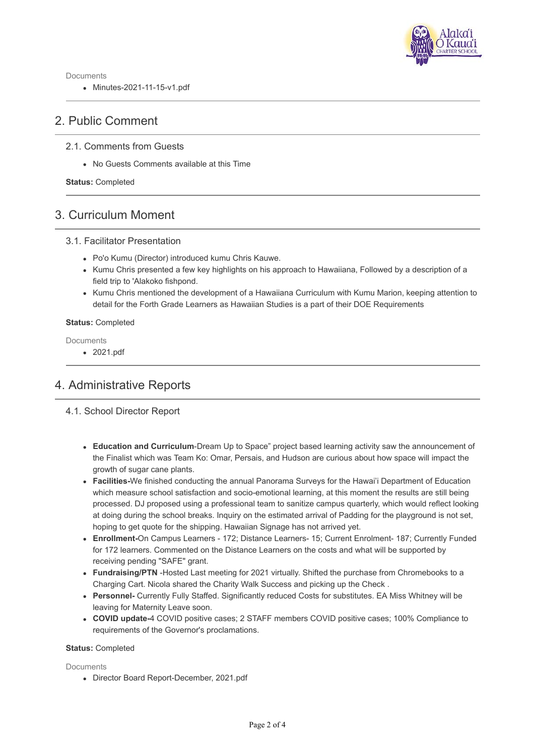

Documents

Minutes-2021-11-15-v1.pdf

# 2. Public Comment

## 2.1. Comments from Guests

No Guests Comments available at this Time

**Status:** Completed

# 3. Curriculum Moment

### 3.1. Facilitator Presentation

- Po'o Kumu (Director) introduced kumu Chris Kauwe.
- Kumu Chris presented a few key highlights on his approach to Hawaiiana, Followed by a description of a field trip to 'Alakoko fishpond.
- Kumu Chris mentioned the development of a Hawaiiana Curriculum with Kumu Marion, keeping attention to detail for the Forth Grade Learners as Hawaiian Studies is a part of their DOE Requirements

#### **Status:** Completed

Documents

2021.pdf

# 4. Administrative Reports

- 4.1. School Director Report
	- **Education and Curriculum**-Dream Up to Space" project based learning activity saw the announcement of the Finalist which was Team Ko: Omar, Persais, and Hudson are curious about how space will impact the growth of sugar cane plants.
	- **Facilities-**We finished conducting the annual Panorama Surveys for the Hawai'i Department of Education which measure school satisfaction and socio-emotional learning, at this moment the results are still being processed. DJ proposed using a professional team to sanitize campus quarterly, which would reflect looking at doing during the school breaks. Inquiry on the estimated arrival of Padding for the playground is not set, hoping to get quote for the shipping. Hawaiian Signage has not arrived yet.
	- **Enrollment-**On Campus Learners 172; Distance Learners- 15; Current Enrolment- 187; Currently Funded for 172 learners. Commented on the Distance Learners on the costs and what will be supported by receiving pending "SAFE" grant.
	- **Fundraising/PTN** -Hosted Last meeting for 2021 virtually. Shifted the purchase from Chromebooks to a Charging Cart. Nicola shared the Charity Walk Success and picking up the Check .
	- **Personnel-** Currently Fully Staffed. Significantly reduced Costs for substitutes. EA Miss Whitney will be leaving for Maternity Leave soon.
	- **COVID update-**4 COVID positive cases; 2 STAFF members COVID positive cases; 100% Compliance to requirements of the Governor's proclamations.

#### **Status:** Completed

**Documents** 

Director Board Report-December, 2021.pdf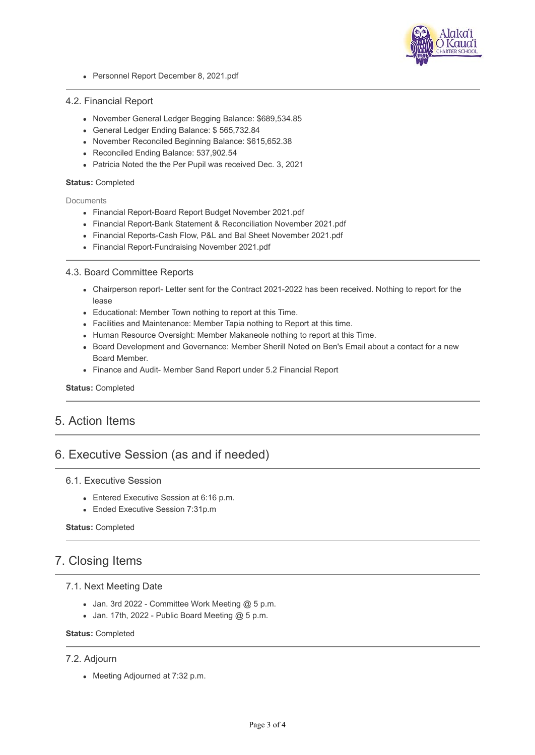

Personnel Report December 8, 2021.pdf

#### 4.2. Financial Report

- November General Ledger Begging Balance: \$689,534.85
- General Ledger Ending Balance: \$ 565,732.84
- November Reconciled Beginning Balance: \$615,652.38
- Reconciled Ending Balance: 537,902.54
- Patricia Noted the the Per Pupil was received Dec. 3, 2021

#### **Status:** Completed

**Documents** 

- Financial Report-Board Report Budget November 2021.pdf
- Financial Report-Bank Statement & Reconciliation November 2021.pdf
- Financial Reports-Cash Flow, P&L and Bal Sheet November 2021.pdf
- Financial Report-Fundraising November 2021.pdf

#### 4.3. Board Committee Reports

- Chairperson report- Letter sent for the Contract 2021-2022 has been received. Nothing to report for the lease
- Educational: Member Town nothing to report at this Time.
- Facilities and Maintenance: Member Tapia nothing to Report at this time.
- Human Resource Oversight: Member Makaneole nothing to report at this Time.
- Board Development and Governance: Member Sherill Noted on Ben's Email about a contact for a new Board Member.
- Finance and Audit- Member Sand Report under 5.2 Financial Report

#### **Status:** Completed

# 5. Action Items

# 6. Executive Session (as and if needed)

#### 6.1. Executive Session

- **Entered Executive Session at 6:16 p.m.**
- Ended Executive Session 7:31p.m

#### **Status:** Completed

# 7. Closing Items

### 7.1. Next Meeting Date

- $\bullet$  Jan. 3rd 2022 Committee Work Meeting @ 5 p.m.
- $\bullet$  Jan. 17th, 2022 Public Board Meeting @ 5 p.m.

### **Status:** Completed

#### 7.2. Adjourn

• Meeting Adjourned at 7:32 p.m.